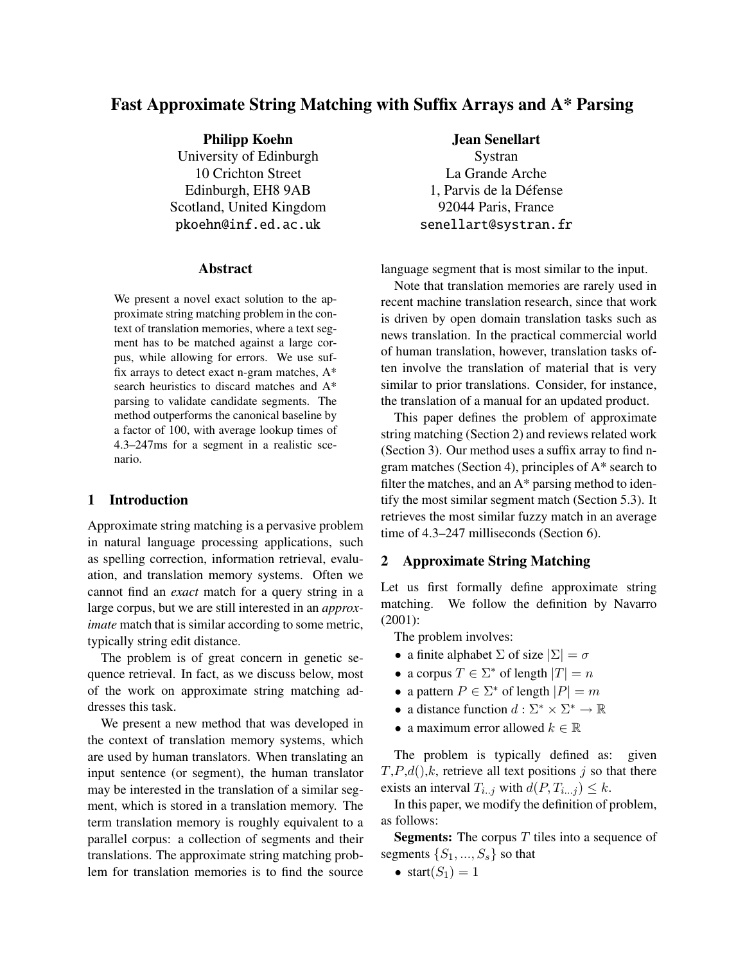# Fast Approximate String Matching with Suffix Arrays and A\* Parsing

Philipp Koehn University of Edinburgh 10 Crichton Street Edinburgh, EH8 9AB Scotland, United Kingdom pkoehn@inf.ed.ac.uk

#### Abstract

We present a novel exact solution to the approximate string matching problem in the context of translation memories, where a text segment has to be matched against a large corpus, while allowing for errors. We use suffix arrays to detect exact n-gram matches, A\* search heuristics to discard matches and A\* parsing to validate candidate segments. The method outperforms the canonical baseline by a factor of 100, with average lookup times of 4.3–247ms for a segment in a realistic scenario.

#### 1 Introduction

Approximate string matching is a pervasive problem in natural language processing applications, such as spelling correction, information retrieval, evaluation, and translation memory systems. Often we cannot find an *exact* match for a query string in a large corpus, but we are still interested in an *approximate* match that is similar according to some metric, typically string edit distance.

The problem is of great concern in genetic sequence retrieval. In fact, as we discuss below, most of the work on approximate string matching addresses this task.

We present a new method that was developed in the context of translation memory systems, which are used by human translators. When translating an input sentence (or segment), the human translator may be interested in the translation of a similar segment, which is stored in a translation memory. The term translation memory is roughly equivalent to a parallel corpus: a collection of segments and their translations. The approximate string matching problem for translation memories is to find the source Jean Senellart Systran

La Grande Arche 1. Parvis de la Défense 92044 Paris, France senellart@systran.fr

language segment that is most similar to the input.

Note that translation memories are rarely used in recent machine translation research, since that work is driven by open domain translation tasks such as news translation. In the practical commercial world of human translation, however, translation tasks often involve the translation of material that is very similar to prior translations. Consider, for instance, the translation of a manual for an updated product.

This paper defines the problem of approximate string matching (Section 2) and reviews related work (Section 3). Our method uses a suffix array to find ngram matches (Section 4), principles of A\* search to filter the matches, and an  $A^*$  parsing method to identify the most similar segment match (Section 5.3). It retrieves the most similar fuzzy match in an average time of 4.3–247 milliseconds (Section 6).

### 2 Approximate String Matching

Let us first formally define approximate string matching. We follow the definition by Navarro (2001):

The problem involves:

- a finite alphabet  $\Sigma$  of size  $|\Sigma| = \sigma$
- a corpus  $T \in \Sigma^*$  of length  $|T| = n$
- a pattern  $P \in \Sigma^*$  of length  $|P| = m$
- a distance function  $d: \Sigma^* \times \Sigma^* \to \mathbb{R}$
- a maximum error allowed  $k \in \mathbb{R}$

The problem is typically defined as: given  $T, P, d( ) , k,$  retrieve all text positions j so that there exists an interval  $T_{i..j}$  with  $d(P, T_{i...j}) \leq k$ .

In this paper, we modify the definition of problem, as follows:

**Segments:** The corpus  $T$  tiles into a sequence of segments  $\{S_1, ..., S_s\}$  so that

• start $(S_1) = 1$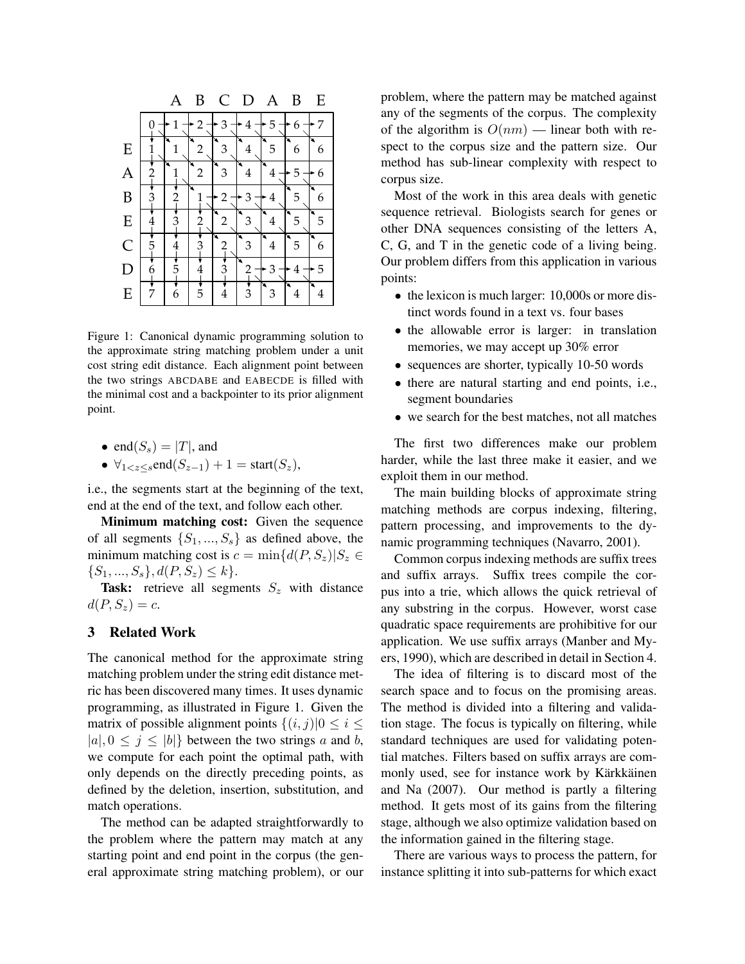|              |                 |   | В | C |                |   | B      | E       |
|--------------|-----------------|---|---|---|----------------|---|--------|---------|
|              |                 |   |   | З | 4              | 5 | 6      | 7       |
| E            |                 |   | 2 | 3 | 4              | 5 | 6      | 6       |
| A            |                 |   | 2 | 3 | ↘<br>4         | 4 | 5      | 6       |
| B            | З               | 2 |   | 2 | З              | 4 | 5      | 6       |
| E            | $rac{4}{\cdot}$ | З | 2 | 2 | 3              | 4 | 5      | 5       |
| $\mathsf{C}$ | 5               | 4 |   |   | ↘<br>3         | 4 | ×<br>5 | 6       |
| D            | 6               | 5 | 4 | З | 2              | З | 4      | 5       |
| E            | र<br>7          | 6 | 5 | 4 | $\overline{3}$ | 3 | 4      | ×.<br>4 |

Figure 1: Canonical dynamic programming solution to the approximate string matching problem under a unit cost string edit distance. Each alignment point between the two strings ABCDABE and EABECDE is filled with the minimal cost and a backpointer to its prior alignment point.

\n- end(
$$
S_s
$$
) =  $|T|$ , and
\n- $\forall_{1 < z \leq s} \text{end}(S_{z-1}) + 1 = \text{start}(S_z)$ ,
\n

i.e., the segments start at the beginning of the text, end at the end of the text, and follow each other.

Minimum matching cost: Given the sequence of all segments  $\{S_1, ..., S_s\}$  as defined above, the minimum matching cost is  $c = \min\{d(P, S_z)|S_z \in$  $\{S_1, ..., S_s\}, d(P, S_z) \leq k\}.$ 

Task: retrieve all segments  $S_z$  with distance  $d(P, S_z) = c.$ 

### 3 Related Work

The canonical method for the approximate string matching problem under the string edit distance metric has been discovered many times. It uses dynamic programming, as illustrated in Figure 1. Given the matrix of possible alignment points  $\{(i, j)|0 \le i \le j\}$  $|a|, 0 \leq j \leq |b|$  between the two strings a and b, we compute for each point the optimal path, with only depends on the directly preceding points, as defined by the deletion, insertion, substitution, and match operations.

The method can be adapted straightforwardly to the problem where the pattern may match at any starting point and end point in the corpus (the general approximate string matching problem), or our problem, where the pattern may be matched against any of the segments of the corpus. The complexity of the algorithm is  $O(nm)$  — linear both with respect to the corpus size and the pattern size. Our method has sub-linear complexity with respect to corpus size.

Most of the work in this area deals with genetic sequence retrieval. Biologists search for genes or other DNA sequences consisting of the letters A, C, G, and T in the genetic code of a living being. Our problem differs from this application in various points:

- the lexicon is much larger: 10,000s or more distinct words found in a text vs. four bases
- the allowable error is larger: in translation memories, we may accept up 30% error
- sequences are shorter, typically 10-50 words
- there are natural starting and end points, i.e., segment boundaries
- we search for the best matches, not all matches

The first two differences make our problem harder, while the last three make it easier, and we exploit them in our method.

The main building blocks of approximate string matching methods are corpus indexing, filtering, pattern processing, and improvements to the dynamic programming techniques (Navarro, 2001).

Common corpus indexing methods are suffix trees and suffix arrays. Suffix trees compile the corpus into a trie, which allows the quick retrieval of any substring in the corpus. However, worst case quadratic space requirements are prohibitive for our application. We use suffix arrays (Manber and Myers, 1990), which are described in detail in Section 4.

The idea of filtering is to discard most of the search space and to focus on the promising areas. The method is divided into a filtering and validation stage. The focus is typically on filtering, while standard techniques are used for validating potential matches. Filters based on suffix arrays are commonly used, see for instance work by Kärkkäinen and Na (2007). Our method is partly a filtering method. It gets most of its gains from the filtering stage, although we also optimize validation based on the information gained in the filtering stage.

There are various ways to process the pattern, for instance splitting it into sub-patterns for which exact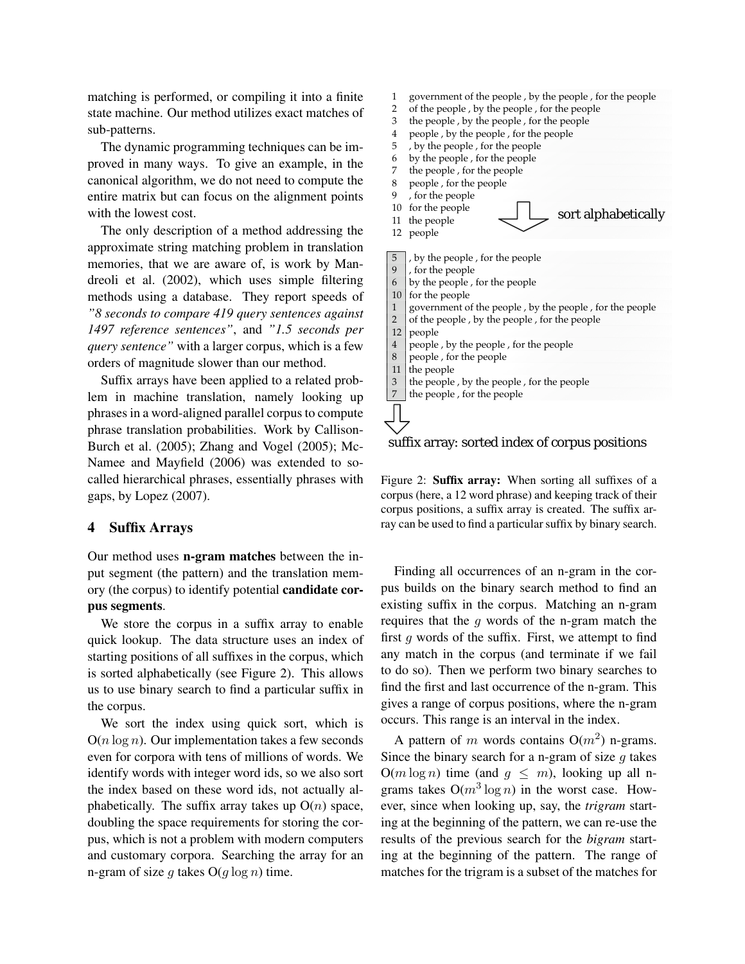matching is performed, or compiling it into a finite state machine. Our method utilizes exact matches of sub-patterns.

The dynamic programming techniques can be improved in many ways. To give an example, in the canonical algorithm, we do not need to compute the entire matrix but can focus on the alignment points with the lowest cost.

The only description of a method addressing the approximate string matching problem in translation memories, that we are aware of, is work by Mandreoli et al. (2002), which uses simple filtering methods using a database. They report speeds of *"8 seconds to compare 419 query sentences against 1497 reference sentences"*, and *"1.5 seconds per query sentence"* with a larger corpus, which is a few orders of magnitude slower than our method.

Suffix arrays have been applied to a related problem in machine translation, namely looking up phrases in a word-aligned parallel corpus to compute phrase translation probabilities. Work by Callison-Burch et al. (2005); Zhang and Vogel (2005); Mc-Namee and Mayfield (2006) was extended to socalled hierarchical phrases, essentially phrases with gaps, by Lopez (2007).

### 4 Suffix Arrays

Our method uses n-gram matches between the input segment (the pattern) and the translation memory (the corpus) to identify potential candidate corpus segments.

We store the corpus in a suffix array to enable quick lookup. The data structure uses an index of starting positions of all suffixes in the corpus, which is sorted alphabetically (see Figure 2). This allows us to use binary search to find a particular suffix in the corpus.

We sort the index using quick sort, which is  $O(n \log n)$ . Our implementation takes a few seconds even for corpora with tens of millions of words. We identify words with integer word ids, so we also sort the index based on these word ids, not actually alphabetically. The suffix array takes up  $O(n)$  space, doubling the space requirements for storing the corpus, which is not a problem with modern computers and customary corpora. Searching the array for an n-gram of size g takes  $O(g \log n)$  time.



3 the people, by the people, for the people

 $\vert 7 \vert$  the people, for the people



Figure 2: Suffix array: When sorting all suffixes of a corpus (here, a 12 word phrase) and keeping track of their corpus positions, a suffix array is created. The suffix array can be used to find a particular suffix by binary search.

Finding all occurrences of an n-gram in the corpus builds on the binary search method to find an existing suffix in the corpus. Matching an n-gram requires that the  $q$  words of the n-gram match the first  $q$  words of the suffix. First, we attempt to find any match in the corpus (and terminate if we fail to do so). Then we perform two binary searches to find the first and last occurrence of the n-gram. This gives a range of corpus positions, where the n-gram occurs. This range is an interval in the index.

A pattern of m words contains  $O(m^2)$  n-grams. Since the binary search for a n-gram of size  $g$  takes  $O(m \log n)$  time (and  $q \leq m$ ), looking up all ngrams takes  $O(m^3 \log n)$  in the worst case. However, since when looking up, say, the *trigram* starting at the beginning of the pattern, we can re-use the results of the previous search for the *bigram* starting at the beginning of the pattern. The range of matches for the trigram is a subset of the matches for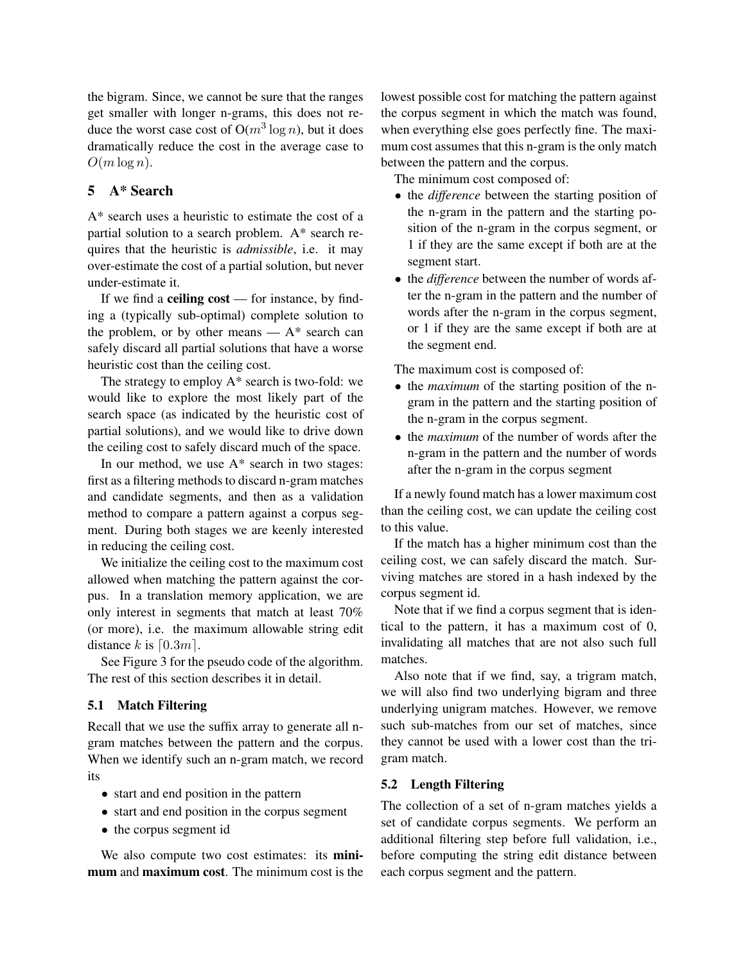the bigram. Since, we cannot be sure that the ranges get smaller with longer n-grams, this does not reduce the worst case cost of  $O(m^3 \log n)$ , but it does dramatically reduce the cost in the average case to  $O(m \log n)$ .

# 5 A\* Search

A\* search uses a heuristic to estimate the cost of a partial solution to a search problem. A\* search requires that the heuristic is *admissible*, i.e. it may over-estimate the cost of a partial solution, but never under-estimate it.

If we find a **ceiling cost** — for instance, by finding a (typically sub-optimal) complete solution to the problem, or by other means  $- A^*$  search can safely discard all partial solutions that have a worse heuristic cost than the ceiling cost.

The strategy to employ A\* search is two-fold: we would like to explore the most likely part of the search space (as indicated by the heuristic cost of partial solutions), and we would like to drive down the ceiling cost to safely discard much of the space.

In our method, we use A\* search in two stages: first as a filtering methods to discard n-gram matches and candidate segments, and then as a validation method to compare a pattern against a corpus segment. During both stages we are keenly interested in reducing the ceiling cost.

We initialize the ceiling cost to the maximum cost allowed when matching the pattern against the corpus. In a translation memory application, we are only interest in segments that match at least 70% (or more), i.e. the maximum allowable string edit distance k is  $\lceil 0.3m \rceil$ .

See Figure 3 for the pseudo code of the algorithm. The rest of this section describes it in detail.

## 5.1 Match Filtering

Recall that we use the suffix array to generate all ngram matches between the pattern and the corpus. When we identify such an n-gram match, we record its

- start and end position in the pattern
- start and end position in the corpus segment
- the corpus segment id

We also compute two cost estimates: its **mini**mum and maximum cost. The minimum cost is the lowest possible cost for matching the pattern against the corpus segment in which the match was found, when everything else goes perfectly fine. The maximum cost assumes that this n-gram is the only match between the pattern and the corpus.

The minimum cost composed of:

- the *difference* between the starting position of the n-gram in the pattern and the starting position of the n-gram in the corpus segment, or 1 if they are the same except if both are at the segment start.
- the *difference* between the number of words after the n-gram in the pattern and the number of words after the n-gram in the corpus segment, or 1 if they are the same except if both are at the segment end.

The maximum cost is composed of:

- the *maximum* of the starting position of the ngram in the pattern and the starting position of the n-gram in the corpus segment.
- the *maximum* of the number of words after the n-gram in the pattern and the number of words after the n-gram in the corpus segment

If a newly found match has a lower maximum cost than the ceiling cost, we can update the ceiling cost to this value.

If the match has a higher minimum cost than the ceiling cost, we can safely discard the match. Surviving matches are stored in a hash indexed by the corpus segment id.

Note that if we find a corpus segment that is identical to the pattern, it has a maximum cost of 0, invalidating all matches that are not also such full matches.

Also note that if we find, say, a trigram match, we will also find two underlying bigram and three underlying unigram matches. However, we remove such sub-matches from our set of matches, since they cannot be used with a lower cost than the trigram match.

## 5.2 Length Filtering

The collection of a set of n-gram matches yields a set of candidate corpus segments. We perform an additional filtering step before full validation, i.e., before computing the string edit distance between each corpus segment and the pattern.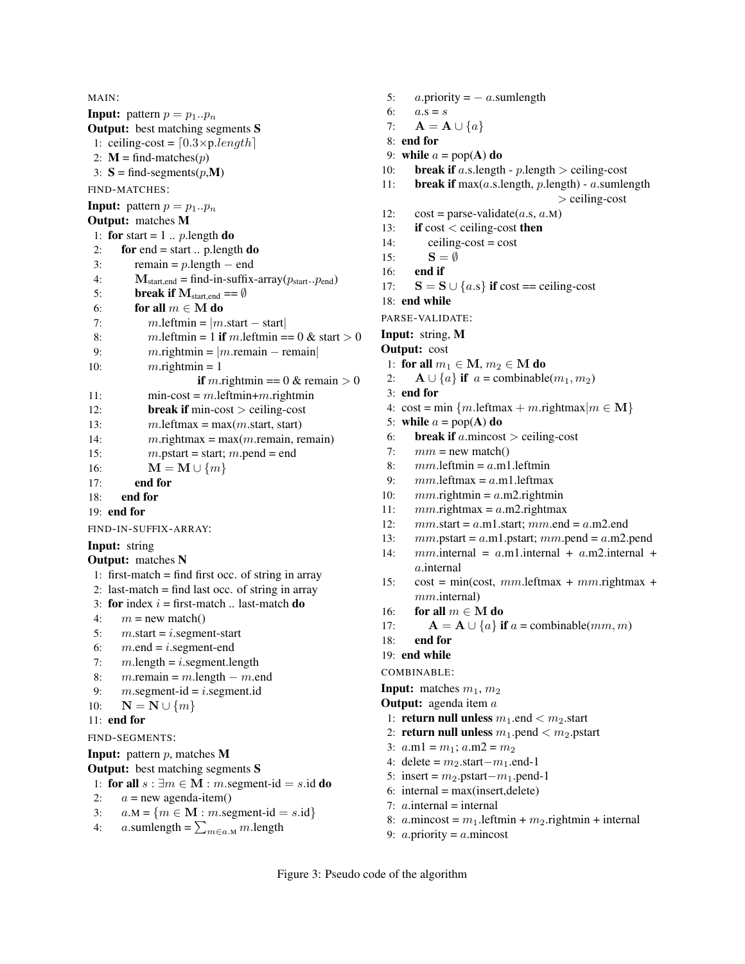```
MAIN:
Input: pattern p = p_1..p_nOutput: best matching segments S
 1: ceiling-cost = [0.3 \times p.length]2: M = \text{find-matches}(p)3: S = \text{find-segments}(p, M)FIND-MATCHES:
Input: pattern p = p_1..p_nOutput: matches M
 1: for start = 1 .. p.length do
 2: for end = start .. p.length \bf{do}3: remain = p.length – end
 4: M_{\text{start},\text{end}} = \text{find-in-suffix-array}(p_{\text{start}}..p_{\text{end}})5: break if M_{\text{start,end}} = \emptyset6: for all m \in M do
 7: m.leftmin = |m.start - start|8: m. leftmin = 1 if m. leftmin == 0 & start > 0
 9: m.rightmin = |m.remain – remain
10: m\text{.}rightmin = 1if m.rightmin == 0 & remain > 0
11: \text{min-cost} = m.\text{left} + m.\text{right} + m.12: break if min-cost > ceiling-cost
13: m. leftmax = max(m. start, start)
14: m.rightmax = max(m.remain, remain)15: m.pstart = start; m.pend = end
16: \mathbf{M} = \mathbf{M} \cup \{m\}17: end for
18: end for
19: end for
FIND-IN-SUFFIX-ARRAY:
Input: string
Output: matches N
 1: first-match = find first occ. of string in array
 2: last-match = find last occ. of string in array
 3: for index i = first-match ... last-match do
 4: m = new match()5: m.start = i.segment-start6: m.end = i.segment-end
 7: m.length = i.segment.length8: m.remain = m.length – m.end
 9: m \text{.segment-id} = i \text{.segment.id}10: \mathbf{N} = \mathbf{N} \cup \{m\}11: end for
FIND-SEGMENTS:
Input: pattern p, matches M
Output: best matching segments S
 1: for all s : ∃m ∈ M : m.segment-id = s.id do
2: a = new agenda-item()3: a.M = \{m \in M : m \text{.segment-id} = s.id\}
```

```
4: a.sumlength = \sum_{m \in a \cdot M} m.length
```

```
5: a.\text{priority} = -a.\text{sumlength}6: a.s = s7: \mathbf{A} = \mathbf{A} \cup \{a\}8: end for
9: while a = pop(A) do
10: break if a.s. length - p. length > ceiling-cost
11: break if max(a.s.length, p.length) - a.sumlength> ceiling-cost
12: \csc t = \text{parse-value}(a.s, a.M)13: if cost < ceiling-cost then
14: ceiling-cost = cost
15: S = \emptyset16: end if
17: S = S \cup \{a.s\} if cost == ceiling-cost
18: end while
PARSE-VALIDATE:
Input: string, M
Output: cost
 1: for all m_1 \in M, m_2 \in M do
 2: \mathbf{A} \cup \{a\} if a = \text{combinable}(m_1, m_2)3: end for
 4: cost = min \{m.\text{leftmax} + m.\text{rightmax}|m \in \mathbf{M}\}\5: while a = pop(A) do
 6: break if a.mincost > ceiling-cost
 7: mm = new match()8: mm. leftmin = a.m1. leftmin
 9: mm. leftmax = a.m1. leftmax
10: mm.rightmin = a.m2.rightmin
11: mm. rightmax = a.m2. rightmax12: mm.start = a.m1.start; mm.end = a.m2.end13: mm.pstart = a.m1.pstart; mm.pend = a.m2.pend
14: mm.internal = a.m1.internal + a.m2.internal +a.internal
15: cost = min(cost, mm.leftmax + mm.rightmax +
      mm.internal)
16: for all m \in M do
17: \mathbf{A} = \mathbf{A} \cup \{a\} if a = \text{combinable}(mm, m)18: end for
19: end while
COMBINABLE:
Input: matches m_1, m_2Output: agenda item a
 1: return null unless m_1 end < m_2 start
 2: return null unless m_1 pend < m_2 pstart
 3: a.m1 = m_1; a.m2 = m_24: delete = m_2.start−m_1.end-1
 5: insert = m_2.pstart−m_1.pend-1
 6: internal = max(insert, delete)
```

```
7: a.internal = internal
```
- 8:  $a.\text{mincost} = m_1.\text{leftmin} + m_2.\text{rightmin} + \text{internal}$
- 9:  $a$ .priority =  $a$ .mincost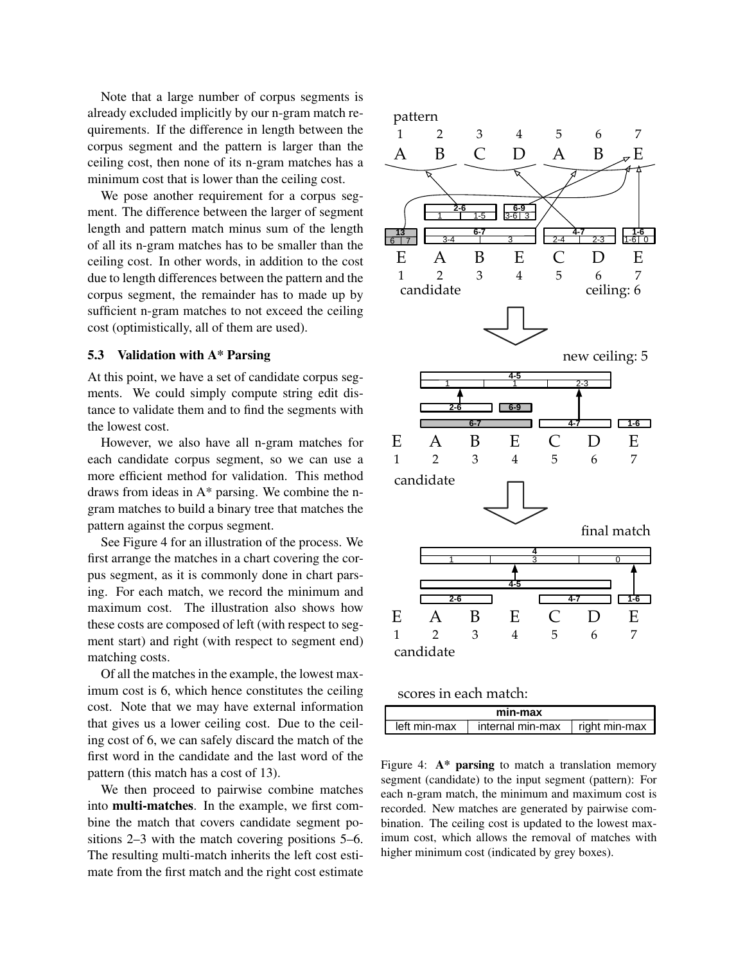Note that a large number of corpus segments is already excluded implicitly by our n-gram match requirements. If the difference in length between the corpus segment and the pattern is larger than the ceiling cost, then none of its n-gram matches has a minimum cost that is lower than the ceiling cost.

We pose another requirement for a corpus segment. The difference between the larger of segment length and pattern match minus sum of the length of all its n-gram matches has to be smaller than the ceiling cost. In other words, in addition to the cost due to length differences between the pattern and the corpus segment, the remainder has to made up by sufficient n-gram matches to not exceed the ceiling cost (optimistically, all of them are used).

## 5.3 Validation with A\* Parsing

At this point, we have a set of candidate corpus segments. We could simply compute string edit distance to validate them and to find the segments with the lowest cost.

However, we also have all n-gram matches for each candidate corpus segment, so we can use a more efficient method for validation. This method draws from ideas in A\* parsing. We combine the ngram matches to build a binary tree that matches the pattern against the corpus segment.

See Figure 4 for an illustration of the process. We first arrange the matches in a chart covering the corpus segment, as it is commonly done in chart parsing. For each match, we record the minimum and maximum cost. The illustration also shows how these costs are composed of left (with respect to segment start) and right (with respect to segment end) matching costs.

Of all the matches in the example, the lowest maximum cost is 6, which hence constitutes the ceiling cost. Note that we may have external information that gives us a lower ceiling cost. Due to the ceiling cost of 6, we can safely discard the match of the first word in the candidate and the last word of the pattern (this match has a cost of 13).

We then proceed to pairwise combine matches into multi-matches. In the example, we first combine the match that covers candidate segment positions 2–3 with the match covering positions 5–6. The resulting multi-match inherits the left cost estimate from the first match and the right cost estimate



scores in each match:

| min-max      |                  |                 |  |  |  |
|--------------|------------------|-----------------|--|--|--|
| left min-max | internal min-max | ⊥ right min-max |  |  |  |

Figure 4:  $A^*$  parsing to match a translation memory segment (candidate) to the input segment (pattern): For each n-gram match, the minimum and maximum cost is recorded. New matches are generated by pairwise combination. The ceiling cost is updated to the lowest maximum cost, which allows the removal of matches with higher minimum cost (indicated by grey boxes).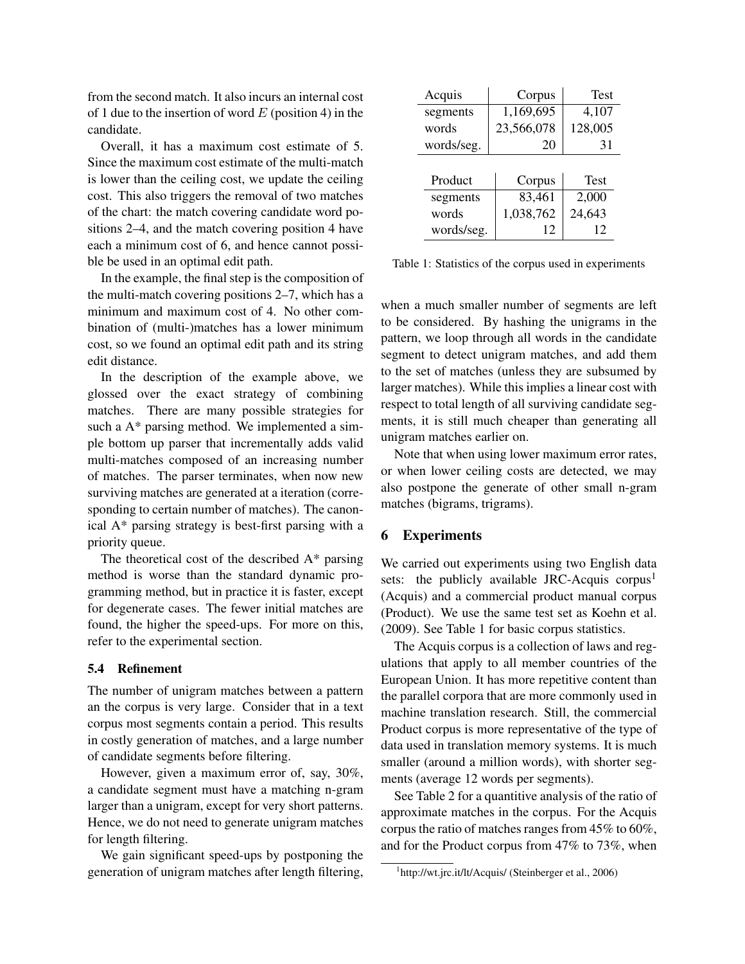from the second match. It also incurs an internal cost of 1 due to the insertion of word  $E$  (position 4) in the candidate.

Overall, it has a maximum cost estimate of 5. Since the maximum cost estimate of the multi-match is lower than the ceiling cost, we update the ceiling cost. This also triggers the removal of two matches of the chart: the match covering candidate word positions 2–4, and the match covering position 4 have each a minimum cost of 6, and hence cannot possible be used in an optimal edit path.

In the example, the final step is the composition of the multi-match covering positions 2–7, which has a minimum and maximum cost of 4. No other combination of (multi-)matches has a lower minimum cost, so we found an optimal edit path and its string edit distance.

In the description of the example above, we glossed over the exact strategy of combining matches. There are many possible strategies for such a A\* parsing method. We implemented a simple bottom up parser that incrementally adds valid multi-matches composed of an increasing number of matches. The parser terminates, when now new surviving matches are generated at a iteration (corresponding to certain number of matches). The canonical A\* parsing strategy is best-first parsing with a priority queue.

The theoretical cost of the described A\* parsing method is worse than the standard dynamic programming method, but in practice it is faster, except for degenerate cases. The fewer initial matches are found, the higher the speed-ups. For more on this, refer to the experimental section.

#### 5.4 Refinement

The number of unigram matches between a pattern an the corpus is very large. Consider that in a text corpus most segments contain a period. This results in costly generation of matches, and a large number of candidate segments before filtering.

However, given a maximum error of, say, 30%, a candidate segment must have a matching n-gram larger than a unigram, except for very short patterns. Hence, we do not need to generate unigram matches for length filtering.

We gain significant speed-ups by postponing the generation of unigram matches after length filtering,

| Acquis     | Corpus     | <b>Test</b> |  |
|------------|------------|-------------|--|
| segments   | 1,169,695  | 4,107       |  |
| words      | 23,566,078 | 128,005     |  |
| words/seg. | 20         | 31          |  |
|            |            |             |  |
| Product    | Corpus     | Test        |  |
| segments   | 83,461     | 2,000       |  |
| words      | 1,038,762  | 24,643      |  |
| words/seg. | 12         | 12          |  |

Table 1: Statistics of the corpus used in experiments

when a much smaller number of segments are left to be considered. By hashing the unigrams in the pattern, we loop through all words in the candidate segment to detect unigram matches, and add them to the set of matches (unless they are subsumed by larger matches). While this implies a linear cost with respect to total length of all surviving candidate segments, it is still much cheaper than generating all unigram matches earlier on.

Note that when using lower maximum error rates, or when lower ceiling costs are detected, we may also postpone the generate of other small n-gram matches (bigrams, trigrams).

### 6 Experiments

We carried out experiments using two English data sets: the publicly available JRC-Acquis corpus<sup>1</sup> (Acquis) and a commercial product manual corpus (Product). We use the same test set as Koehn et al. (2009). See Table 1 for basic corpus statistics.

The Acquis corpus is a collection of laws and regulations that apply to all member countries of the European Union. It has more repetitive content than the parallel corpora that are more commonly used in machine translation research. Still, the commercial Product corpus is more representative of the type of data used in translation memory systems. It is much smaller (around a million words), with shorter segments (average 12 words per segments).

See Table 2 for a quantitive analysis of the ratio of approximate matches in the corpus. For the Acquis corpus the ratio of matches ranges from 45% to 60%, and for the Product corpus from 47% to 73%, when

<sup>&</sup>lt;sup>1</sup>http://wt.jrc.it/lt/Acquis/ (Steinberger et al., 2006)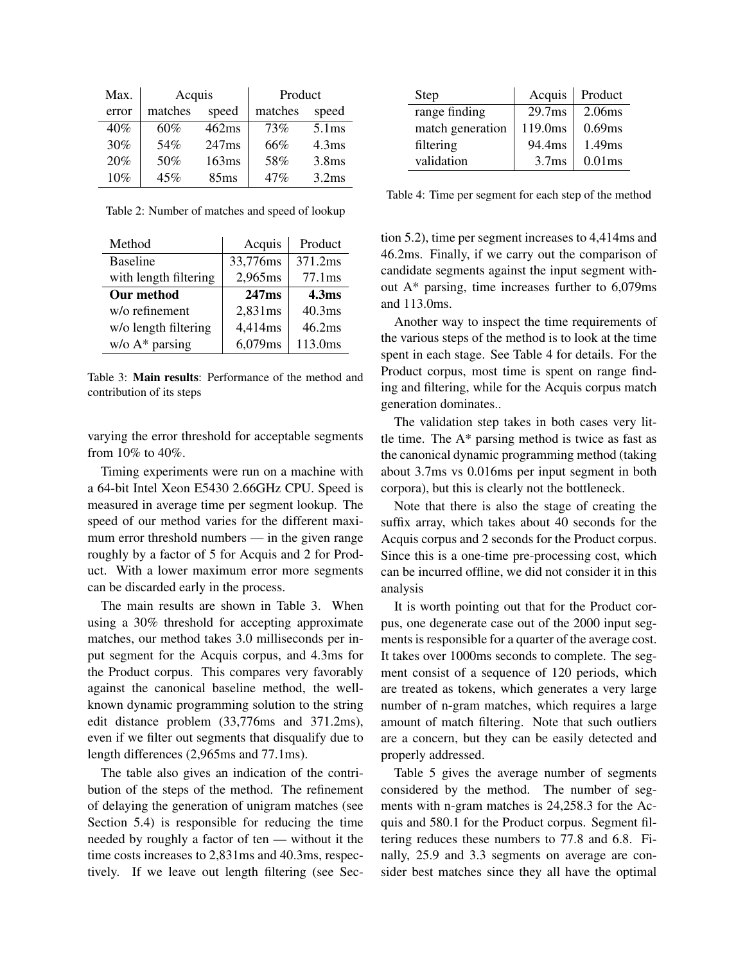| Max.  | Acquis  |       | Product |                   |  |
|-------|---------|-------|---------|-------------------|--|
| error | matches | speed | matches | speed             |  |
| 40%   | 60%     | 462ms | 73%     | 5.1ms             |  |
| 30%   | 54%     | 247ms | 66%     | 4.3 <sub>ms</sub> |  |
| 20%   | 50%     | 163ms | 58%     | 3.8 <sub>ms</sub> |  |
| 10%   | 45%     | 85ms  | 47%     | 3.2ms             |  |

Table 2: Number of matches and speed of lookup

| Method                | Acquis            | Product            |
|-----------------------|-------------------|--------------------|
| <b>Baseline</b>       | 33,776ms          | 371.2ms            |
| with length filtering | 2,965ms           | 77.1 <sub>ms</sub> |
| Our method            | 247 <sub>ms</sub> | 4.3 <sub>ms</sub>  |
| w/o refinement        | 2,831ms           | 40.3ms             |
| w/o length filtering  | 4,414ms           | 46.2ms             |
| $w/o A*$ parsing      | 6,079ms           | 113.0ms            |

Table 3: Main results: Performance of the method and contribution of its steps

varying the error threshold for acceptable segments from 10% to 40%.

Timing experiments were run on a machine with a 64-bit Intel Xeon E5430 2.66GHz CPU. Speed is measured in average time per segment lookup. The speed of our method varies for the different maximum error threshold numbers — in the given range roughly by a factor of 5 for Acquis and 2 for Product. With a lower maximum error more segments can be discarded early in the process.

The main results are shown in Table 3. When using a 30% threshold for accepting approximate matches, our method takes 3.0 milliseconds per input segment for the Acquis corpus, and 4.3ms for the Product corpus. This compares very favorably against the canonical baseline method, the wellknown dynamic programming solution to the string edit distance problem (33,776ms and 371.2ms), even if we filter out segments that disqualify due to length differences (2,965ms and 77.1ms).

The table also gives an indication of the contribution of the steps of the method. The refinement of delaying the generation of unigram matches (see Section 5.4) is responsible for reducing the time needed by roughly a factor of ten — without it the time costs increases to 2,831ms and 40.3ms, respectively. If we leave out length filtering (see Sec-

| Step             | Acquis             | Product   |
|------------------|--------------------|-----------|
| range finding    | 29.7 <sub>ms</sub> | 2.06ms    |
| match generation | 119.0ms            | 0.69ms    |
| filtering        | 94.4ms             | 1.49ms    |
| validation       | 3.7 <sub>ms</sub>  | $0.01$ ms |

Table 4: Time per segment for each step of the method

tion 5.2), time per segment increases to 4,414ms and 46.2ms. Finally, if we carry out the comparison of candidate segments against the input segment without A\* parsing, time increases further to 6,079ms and 113.0ms.

Another way to inspect the time requirements of the various steps of the method is to look at the time spent in each stage. See Table 4 for details. For the Product corpus, most time is spent on range finding and filtering, while for the Acquis corpus match generation dominates..

The validation step takes in both cases very little time. The A\* parsing method is twice as fast as the canonical dynamic programming method (taking about 3.7ms vs 0.016ms per input segment in both corpora), but this is clearly not the bottleneck.

Note that there is also the stage of creating the suffix array, which takes about 40 seconds for the Acquis corpus and 2 seconds for the Product corpus. Since this is a one-time pre-processing cost, which can be incurred offline, we did not consider it in this analysis

It is worth pointing out that for the Product corpus, one degenerate case out of the 2000 input segments is responsible for a quarter of the average cost. It takes over 1000ms seconds to complete. The segment consist of a sequence of 120 periods, which are treated as tokens, which generates a very large number of n-gram matches, which requires a large amount of match filtering. Note that such outliers are a concern, but they can be easily detected and properly addressed.

Table 5 gives the average number of segments considered by the method. The number of segments with n-gram matches is 24,258.3 for the Acquis and 580.1 for the Product corpus. Segment filtering reduces these numbers to 77.8 and 6.8. Finally, 25.9 and 3.3 segments on average are consider best matches since they all have the optimal